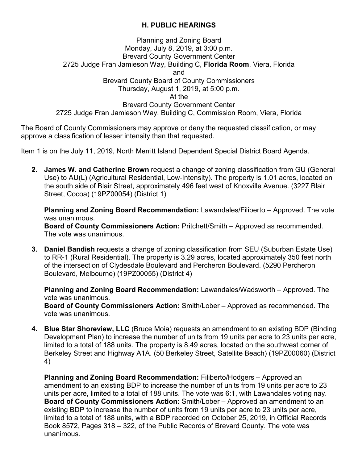## **H. PUBLIC HEARINGS**

## Planning and Zoning Board Monday, July 8, 2019, at 3:00 p.m. Brevard County Government Center 2725 Judge Fran Jamieson Way, Building C, **Florida Room**, Viera, Florida and Brevard County Board of County Commissioners Thursday, August 1, 2019, at 5:00 p.m. At the Brevard County Government Center 2725 Judge Fran Jamieson Way, Building C, Commission Room, Viera, Florida

The Board of County Commissioners may approve or deny the requested classification, or may approve a classification of lesser intensity than that requested.

Item 1 is on the July 11, 2019, North Merritt Island Dependent Special District Board Agenda.

**2. James W. and Catherine Brown** request a change of zoning classification from GU (General Use) to AU(L) (Agricultural Residential, Low-Intensity). The property is 1.01 acres, located on the south side of Blair Street, approximately 496 feet west of Knoxville Avenue. (3227 Blair Street, Cocoa) (19PZ00054) (District 1)

**Planning and Zoning Board Recommendation:** Lawandales/Filiberto – Approved. The vote was unanimous.

**Board of County Commissioners Action:** Pritchett/Smith – Approved as recommended. The vote was unanimous.

**3. Daniel Bandish** requests a change of zoning classification from SEU (Suburban Estate Use) to RR-1 (Rural Residential). The property is 3.29 acres, located approximately 350 feet north of the intersection of Clydesdale Boulevard and Percheron Boulevard. (5290 Percheron Boulevard, Melbourne) (19PZ00055) (District 4)

**Planning and Zoning Board Recommendation:** Lawandales/Wadsworth – Approved. The vote was unanimous.

**Board of County Commissioners Action:** Smith/Lober – Approved as recommended. The vote was unanimous.

**4. Blue Star Shoreview, LLC** (Bruce Moia) requests an amendment to an existing BDP (Binding Development Plan) to increase the number of units from 19 units per acre to 23 units per acre, limited to a total of 188 units. The property is 8.49 acres, located on the southwest corner of Berkeley Street and Highway A1A. (50 Berkeley Street, Satellite Beach) (19PZ00060) (District 4)

**Planning and Zoning Board Recommendation:** Filiberto/Hodgers – Approved an amendment to an existing BDP to increase the number of units from 19 units per acre to 23 units per acre, limited to a total of 188 units. The vote was 6:1, with Lawandales voting nay. **Board of County Commissioners Action:** Smith/Lober – Approved an amendment to an existing BDP to increase the number of units from 19 units per acre to 23 units per acre, limited to a total of 188 units, with a BDP recorded on October 25, 2019, in Official Records Book 8572, Pages 318 – 322, of the Public Records of Brevard County. The vote was unanimous.